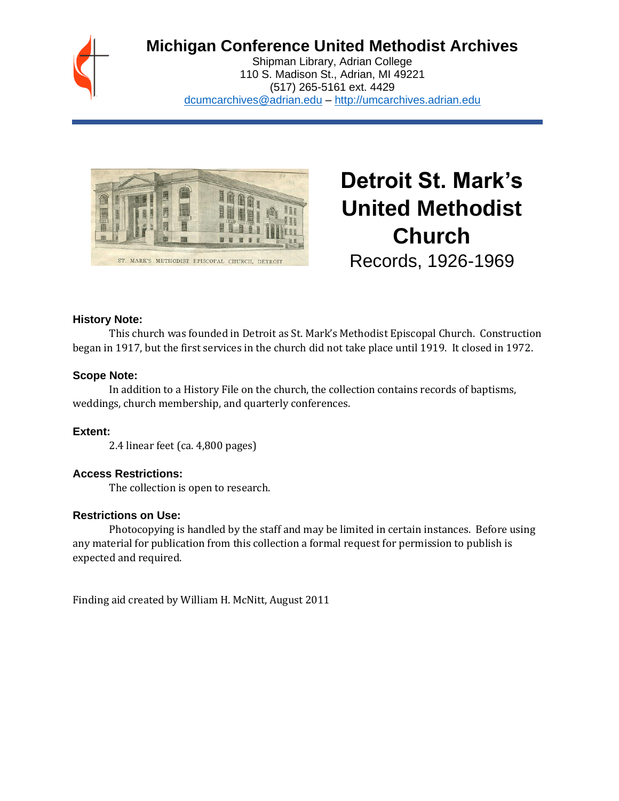

# **Michigan Conference United Methodist Archives**

Shipman Library, Adrian College 110 S. Madison St., Adrian, MI 49221 (517) 265-5161 ext. 4429 [dcumcarchives@adrian.edu](mailto:dcumcarchives@adrian.edu) – [http://umcarchives.adrian.edu](http://umcarchives.adrian.edu/)



**Detroit St. Mark's United Methodist Church** Records, 1926-1969

#### **History Note:**

This church was founded in Detroit as St. Mark's Methodist Episcopal Church. Construction began in 1917, but the first services in the church did not take place until 1919. It closed in 1972.

#### **Scope Note:**

In addition to a History File on the church, the collection contains records of baptisms, weddings, church membership, and quarterly conferences.

### **Extent:**

2.4 linear feet (ca. 4,800 pages)

#### **Access Restrictions:**

The collection is open to research.

#### **Restrictions on Use:**

Photocopying is handled by the staff and may be limited in certain instances. Before using any material for publication from this collection a formal request for permission to publish is expected and required.

Finding aid created by William H. McNitt, August 2011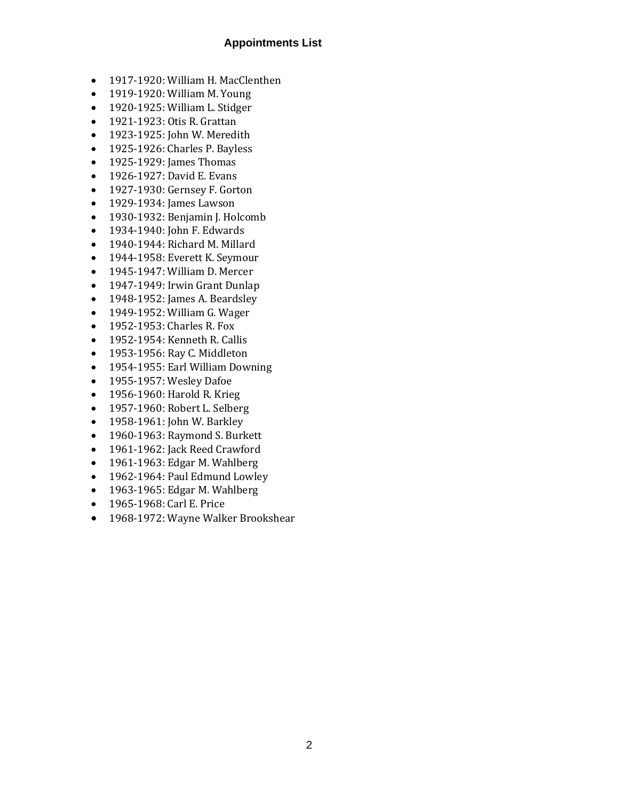#### **Appointments List**

- 1917-1920: William H. MacClenthen
- 1919-1920: William M. Young
- 1920-1925: William L. Stidger
- 1921-1923: Otis R. Grattan
- 1923-1925: John W. Meredith
- 1925-1926: Charles P. Bayless
- 1925-1929: James Thomas
- 1926-1927: David E. Evans
- 1927-1930: Gernsey F. Gorton
- 1929-1934: James Lawson
- 1930-1932: Benjamin J. Holcomb
- 1934-1940: John F. Edwards
- 1940-1944: Richard M. Millard
- 1944-1958: Everett K. Seymour
- 1945-1947: William D. Mercer
- 1947-1949: Irwin Grant Dunlap
- 1948-1952: James A. Beardsley
- 1949-1952: William G. Wager
- 1952-1953: Charles R. Fox
- 1952-1954: Kenneth R. Callis
- 1953-1956: Ray C. Middleton
- 1954-1955: Earl William Downing
- 1955-1957: Wesley Dafoe
- 1956-1960: Harold R. Krieg
- 1957-1960: Robert L. Selberg
- 1958-1961: John W. Barkley
- 1960-1963: Raymond S. Burkett
- 1961-1962: Jack Reed Crawford
- 1961-1963: Edgar M. Wahlberg
- 1962-1964: Paul Edmund Lowley
- 1963-1965: Edgar M. Wahlberg
- 1965-1968: Carl E. Price
- 1968-1972: Wayne Walker Brookshear